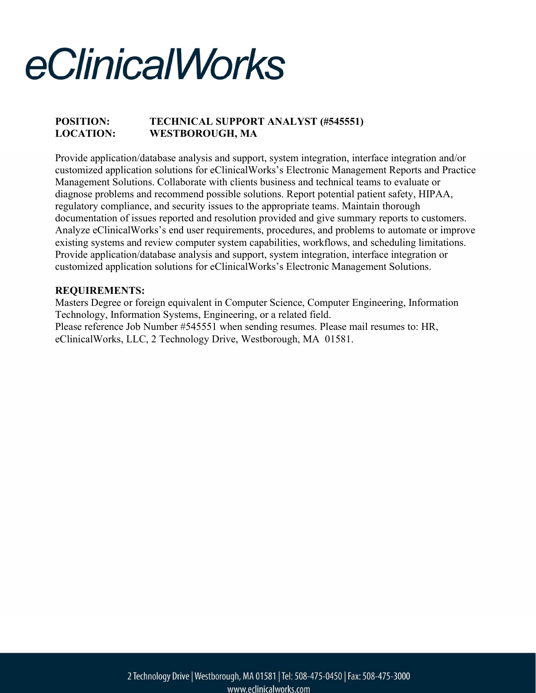### POSITION: TECHNICAL SUPPORT ANALYST (#545551) LOCATION: WESTBOROUGH, MA

Provide application/database analysis and support, system integration, interface integration and/or customized application solutions for eClinicalWorks's Electronic Management Reports and Practice Management Solutions. Collaborate with clients business and technical teams to evaluate or diagnose problems and recommend possible solutions. Report potential patient safety, HIPAA, regulatory compliance, and security issues to the appropriate teams. Maintain thorough documentation of issues reported and resolution provided and give summary reports to customers. Analyze eClinicalWorks's end user requirements, procedures, and problems to automate or improve existing systems and review computer system capabilities, workflows, and scheduling limitations. Provide application/database analysis and support, system integration, interface integration or customized application solutions for eClinicalWorks's Electronic Management Solutions.

#### REQUIREMENTS:

Masters Degree or foreign equivalent in Computer Science, Computer Engineering, Information Technology, Information Systems, Engineering, or a related field. Please reference Job Number #545551 when sending resumes. Please mail resumes to: HR, eClinicalWorks, LLC, 2 Technology Drive, Westborough, MA 01581.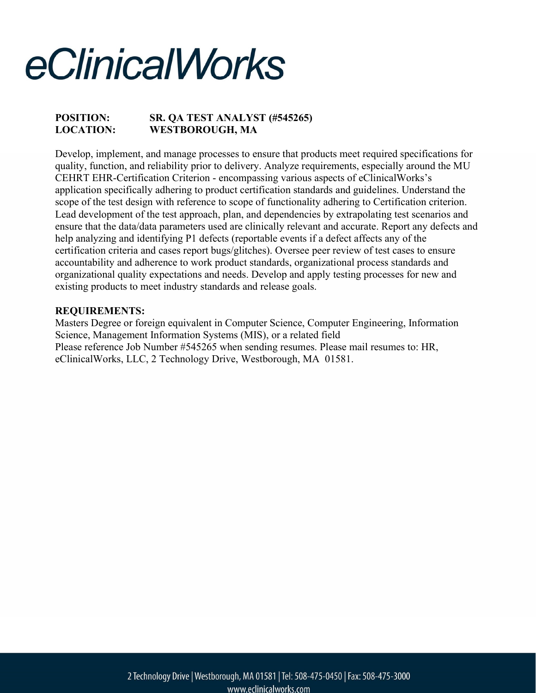## POSITION: SR. QA TEST ANALYST (#545265) LOCATION: WESTBOROUGH, MA

Develop, implement, and manage processes to ensure that products meet required specifications for quality, function, and reliability prior to delivery. Analyze requirements, especially around the MU CEHRT EHR-Certification Criterion - encompassing various aspects of eClinicalWorks's application specifically adhering to product certification standards and guidelines. Understand the scope of the test design with reference to scope of functionality adhering to Certification criterion. Lead development of the test approach, plan, and dependencies by extrapolating test scenarios and ensure that the data/data parameters used are clinically relevant and accurate. Report any defects and help analyzing and identifying P1 defects (reportable events if a defect affects any of the certification criteria and cases report bugs/glitches). Oversee peer review of test cases to ensure accountability and adherence to work product standards, organizational process standards and organizational quality expectations and needs. Develop and apply testing processes for new and existing products to meet industry standards and release goals.

#### REQUIREMENTS:

Masters Degree or foreign equivalent in Computer Science, Computer Engineering, Information Science, Management Information Systems (MIS), or a related field Please reference Job Number #545265 when sending resumes. Please mail resumes to: HR, eClinicalWorks, LLC, 2 Technology Drive, Westborough, MA 01581.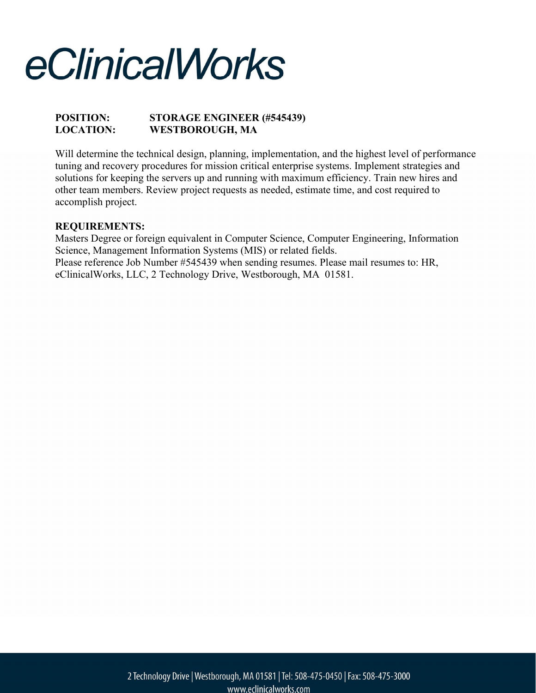## POSITION: STORAGE ENGINEER (#545439) LOCATION: WESTBOROUGH, MA

Will determine the technical design, planning, implementation, and the highest level of performance tuning and recovery procedures for mission critical enterprise systems. Implement strategies and solutions for keeping the servers up and running with maximum efficiency. Train new hires and other team members. Review project requests as needed, estimate time, and cost required to accomplish project.

### REQUIREMENTS:

Masters Degree or foreign equivalent in Computer Science, Computer Engineering, Information Science, Management Information Systems (MIS) or related fields. Please reference Job Number #545439 when sending resumes. Please mail resumes to: HR, eClinicalWorks, LLC, 2 Technology Drive, Westborough, MA 01581.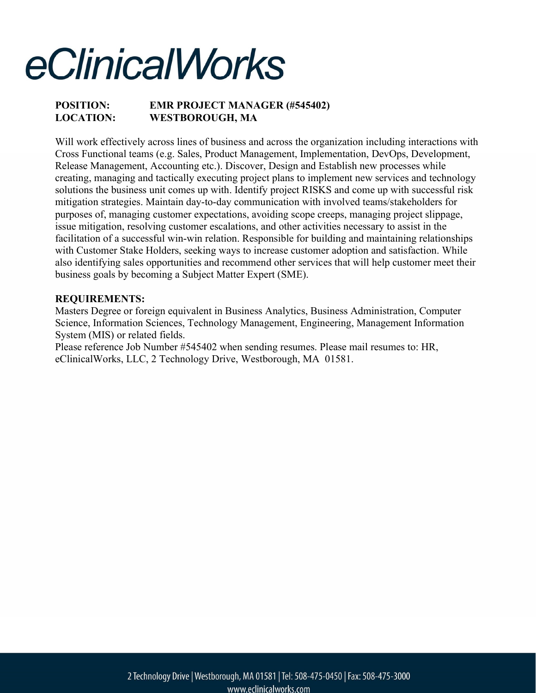### POSITION: EMR PROJECT MANAGER (#545402) LOCATION: WESTBOROUGH, MA

Will work effectively across lines of business and across the organization including interactions with Cross Functional teams (e.g. Sales, Product Management, Implementation, DevOps, Development, Release Management, Accounting etc.). Discover, Design and Establish new processes while creating, managing and tactically executing project plans to implement new services and technology solutions the business unit comes up with. Identify project RISKS and come up with successful risk mitigation strategies. Maintain day-to-day communication with involved teams/stakeholders for purposes of, managing customer expectations, avoiding scope creeps, managing project slippage, issue mitigation, resolving customer escalations, and other activities necessary to assist in the facilitation of a successful win-win relation. Responsible for building and maintaining relationships with Customer Stake Holders, seeking ways to increase customer adoption and satisfaction. While also identifying sales opportunities and recommend other services that will help customer meet their business goals by becoming a Subject Matter Expert (SME).

#### REQUIREMENTS:

Masters Degree or foreign equivalent in Business Analytics, Business Administration, Computer Science, Information Sciences, Technology Management, Engineering, Management Information System (MIS) or related fields.

Please reference Job Number #545402 when sending resumes. Please mail resumes to: HR, eClinicalWorks, LLC, 2 Technology Drive, Westborough, MA 01581.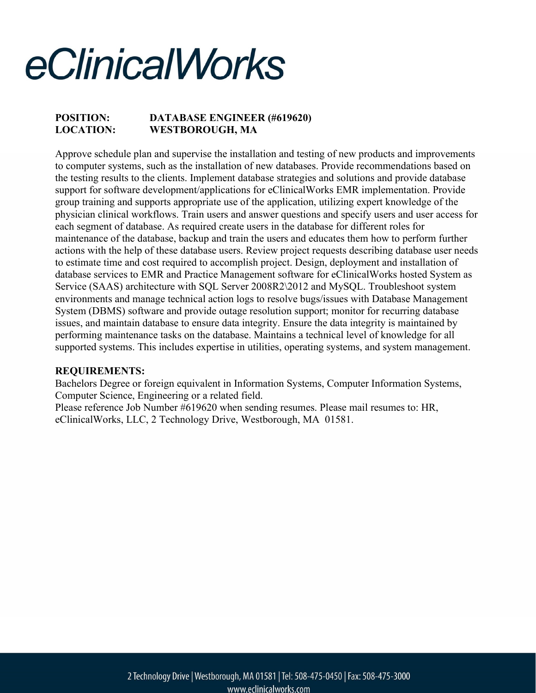## POSITION: DATABASE ENGINEER (#619620) LOCATION: WESTBOROUGH, MA

Approve schedule plan and supervise the installation and testing of new products and improvements to computer systems, such as the installation of new databases. Provide recommendations based on the testing results to the clients. Implement database strategies and solutions and provide database support for software development/applications for eClinicalWorks EMR implementation. Provide group training and supports appropriate use of the application, utilizing expert knowledge of the physician clinical workflows. Train users and answer questions and specify users and user access for each segment of database. As required create users in the database for different roles for maintenance of the database, backup and train the users and educates them how to perform further actions with the help of these database users. Review project requests describing database user needs to estimate time and cost required to accomplish project. Design, deployment and installation of database services to EMR and Practice Management software for eClinicalWorks hosted System as Service (SAAS) architecture with SQL Server 2008R2\2012 and MySQL. Troubleshoot system environments and manage technical action logs to resolve bugs/issues with Database Management System (DBMS) software and provide outage resolution support; monitor for recurring database issues, and maintain database to ensure data integrity. Ensure the data integrity is maintained by performing maintenance tasks on the database. Maintains a technical level of knowledge for all supported systems. This includes expertise in utilities, operating systems, and system management.

#### REQUIREMENTS:

Bachelors Degree or foreign equivalent in Information Systems, Computer Information Systems, Computer Science, Engineering or a related field.

Please reference Job Number #619620 when sending resumes. Please mail resumes to: HR, eClinicalWorks, LLC, 2 Technology Drive, Westborough, MA 01581.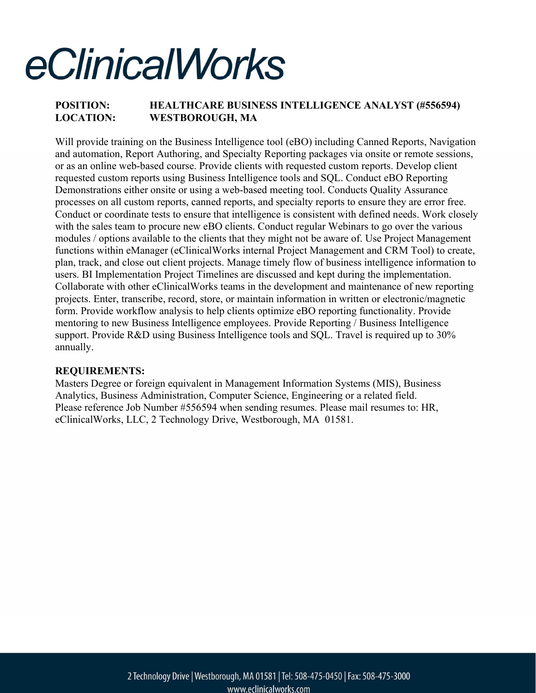## POSITION: HEALTHCARE BUSINESS INTELLIGENCE ANALYST (#556594) LOCATION: WESTBOROUGH, MA

Will provide training on the Business Intelligence tool (eBO) including Canned Reports, Navigation and automation, Report Authoring, and Specialty Reporting packages via onsite or remote sessions, or as an online web-based course. Provide clients with requested custom reports. Develop client requested custom reports using Business Intelligence tools and SQL. Conduct eBO Reporting Demonstrations either onsite or using a web-based meeting tool. Conducts Quality Assurance processes on all custom reports, canned reports, and specialty reports to ensure they are error free. Conduct or coordinate tests to ensure that intelligence is consistent with defined needs. Work closely with the sales team to procure new eBO clients. Conduct regular Webinars to go over the various modules / options available to the clients that they might not be aware of. Use Project Management functions within eManager (eClinicalWorks internal Project Management and CRM Tool) to create, plan, track, and close out client projects. Manage timely flow of business intelligence information to users. BI Implementation Project Timelines are discussed and kept during the implementation. Collaborate with other eClinicalWorks teams in the development and maintenance of new reporting projects. Enter, transcribe, record, store, or maintain information in written or electronic/magnetic form. Provide workflow analysis to help clients optimize eBO reporting functionality. Provide mentoring to new Business Intelligence employees. Provide Reporting / Business Intelligence support. Provide R&D using Business Intelligence tools and SQL. Travel is required up to 30% annually.

#### REQUIREMENTS:

Masters Degree or foreign equivalent in Management Information Systems (MIS), Business Analytics, Business Administration, Computer Science, Engineering or a related field. Please reference Job Number #556594 when sending resumes. Please mail resumes to: HR, eClinicalWorks, LLC, 2 Technology Drive, Westborough, MA 01581.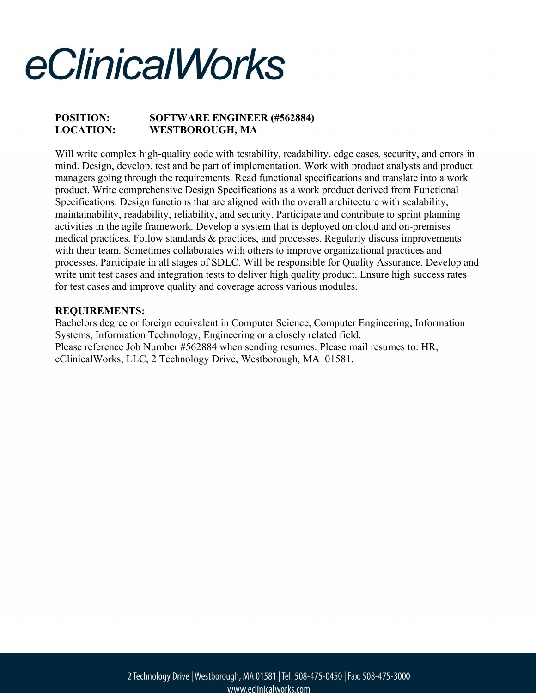### POSITION: SOFTWARE ENGINEER (#562884) LOCATION: WESTBOROUGH, MA

Will write complex high-quality code with testability, readability, edge cases, security, and errors in mind. Design, develop, test and be part of implementation. Work with product analysts and product managers going through the requirements. Read functional specifications and translate into a work product. Write comprehensive Design Specifications as a work product derived from Functional Specifications. Design functions that are aligned with the overall architecture with scalability, maintainability, readability, reliability, and security. Participate and contribute to sprint planning activities in the agile framework. Develop a system that is deployed on cloud and on-premises medical practices. Follow standards & practices, and processes. Regularly discuss improvements with their team. Sometimes collaborates with others to improve organizational practices and processes. Participate in all stages of SDLC. Will be responsible for Quality Assurance. Develop and write unit test cases and integration tests to deliver high quality product. Ensure high success rates for test cases and improve quality and coverage across various modules.

#### REQUIREMENTS:

Bachelors degree or foreign equivalent in Computer Science, Computer Engineering, Information Systems, Information Technology, Engineering or a closely related field. Please reference Job Number #562884 when sending resumes. Please mail resumes to: HR, eClinicalWorks, LLC, 2 Technology Drive, Westborough, MA 01581.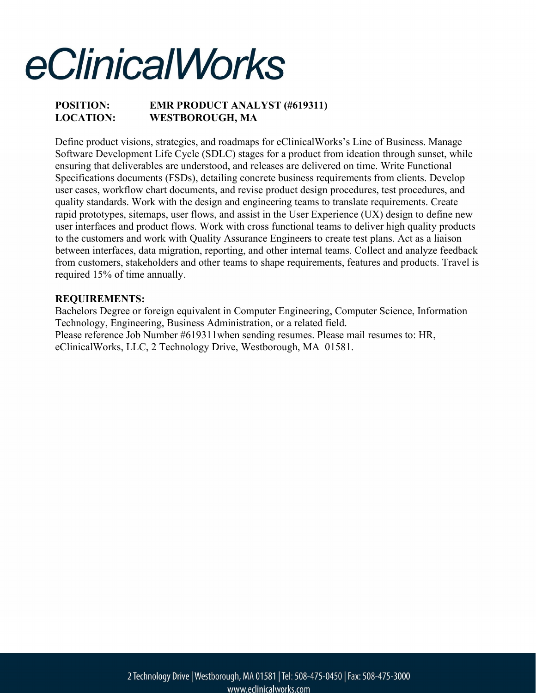### POSITION: EMR PRODUCT ANALYST (#619311) LOCATION: WESTBOROUGH, MA

Define product visions, strategies, and roadmaps for eClinicalWorks's Line of Business. Manage Software Development Life Cycle (SDLC) stages for a product from ideation through sunset, while ensuring that deliverables are understood, and releases are delivered on time. Write Functional Specifications documents (FSDs), detailing concrete business requirements from clients. Develop user cases, workflow chart documents, and revise product design procedures, test procedures, and quality standards. Work with the design and engineering teams to translate requirements. Create rapid prototypes, sitemaps, user flows, and assist in the User Experience (UX) design to define new user interfaces and product flows. Work with cross functional teams to deliver high quality products to the customers and work with Quality Assurance Engineers to create test plans. Act as a liaison between interfaces, data migration, reporting, and other internal teams. Collect and analyze feedback from customers, stakeholders and other teams to shape requirements, features and products. Travel is required 15% of time annually.

#### REQUIREMENTS:

Bachelors Degree or foreign equivalent in Computer Engineering, Computer Science, Information Technology, Engineering, Business Administration, or a related field. Please reference Job Number #619311when sending resumes. Please mail resumes to: HR, eClinicalWorks, LLC, 2 Technology Drive, Westborough, MA 01581.